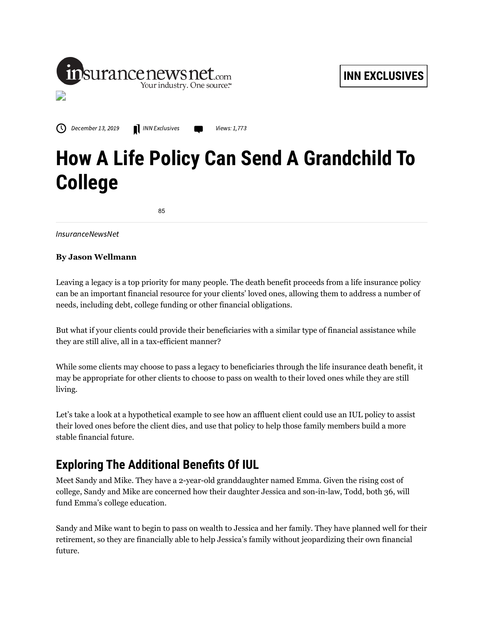

 $\bigcirc$  December 13, 2019 **IN** INN [Exclusives](https://insurancenewsnet.com/topics/inn-exclusives) **CO** Views: 1,773

## **How A Life Policy Can Send A Grandchild To College**

85

InsuranceNewsNet

## **By Jason Wellmann**

Leaving a legacy is a top priority for many people. The death benefit proceeds from a life insurance policy can be an important financial resource for your clients' loved ones, allowing them to address a number of needs, including debt, college funding or other financial obligations.

But what if your clients could provide their beneficiaries with a similar type of financial assistance while they are still alive, all in a tax-efficient manner?

While some clients may choose to pass a legacy to beneficiaries through the life insurance death benefit, it may be appropriate for other clients to choose to pass on wealth to their loved ones while they are still living.

Let's take a look at a hypothetical example to see how an affluent client could use an IUL policy to assist their loved ones before the client dies, and use that policy to help those family members build a more stable financial future.

## **Exploring The Additional Benets Of IUL**

Meet Sandy and Mike. They have a 2-year-old granddaughter named Emma. Given the rising cost of college, Sandy and Mike are concerned how their daughter Jessica and son-in-law, Todd, both 36, will fund Emma's college education.

Sandy and Mike want to begin to pass on wealth to Jessica and her family. They have planned well for their retirement, so they are financially able to help Jessica's family without jeopardizing their own financial future.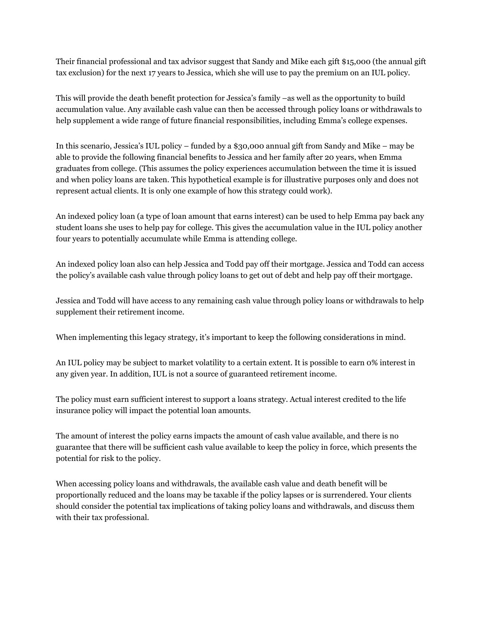Their financial professional and tax advisor suggest that Sandy and Mike each gift \$15,000 (the annual gift tax exclusion) for the next 17 years to Jessica, which she will use to pay the premium on an IUL policy.

This will provide the death benefit protection for Jessica's family –as well as the opportunity to build accumulation value. Any available cash value can then be accessed through policy loans or withdrawals to help supplement a wide range of future financial responsibilities, including Emma's college expenses.

In this scenario, Jessica's IUL policy – funded by a \$30,000 annual gift from Sandy and Mike – may be able to provide the following financial benefits to Jessica and her family after 20 years, when Emma graduates from college. (This assumes the policy experiences accumulation between the time it is issued and when policy loans are taken. This hypothetical example is for illustrative purposes only and does not represent actual clients. It is only one example of how this strategy could work).

An indexed policy loan (a type of loan amount that earns interest) can be used to help Emma pay back any student loans she uses to help pay for college. This gives the accumulation value in the IUL policy another four years to potentially accumulate while Emma is attending college.

An indexed policy loan also can help Jessica and Todd pay off their mortgage. Jessica and Todd can access the policy's available cash value through policy loans to get out of debt and help pay off their mortgage.

Jessica and Todd will have access to any remaining cash value through policy loans or withdrawals to help supplement their retirement income.

When implementing this legacy strategy, it's important to keep the following considerations in mind.

An IUL policy may be subject to market volatility to a certain extent. It is possible to earn 0% interest in any given year. In addition, IUL is not a source of guaranteed retirement income.

The policy must earn sufficient interest to support a loans strategy. Actual interest credited to the life insurance policy will impact the potential loan amounts.

The amount of interest the policy earns impacts the amount of cash value available, and there is no guarantee that there will be sufficient cash value available to keep the policy in force, which presents the potential for risk to the policy.

When accessing policy loans and withdrawals, the available cash value and death benefit will be proportionally reduced and the loans may be taxable if the policy lapses or is surrendered. Your clients should consider the potential tax implications of taking policy loans and withdrawals, and discuss them with their tax professional.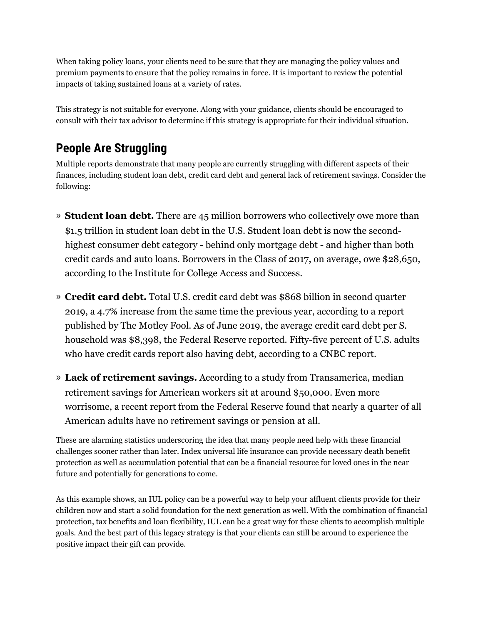When taking policy loans, your clients need to be sure that they are managing the policy values and premium payments to ensure that the policy remains in force. It is important to review the potential impacts of taking sustained loans at a variety of rates.

This strategy is not suitable for everyone. Along with your guidance, clients should be encouraged to consult with their tax advisor to determine if this strategy is appropriate for their individual situation.

## **People Are Struggling**

Multiple reports demonstrate that many people are currently struggling with different aspects of their finances, including student loan debt, credit card debt and general lack of retirement savings. Consider the following:

- » **Student loan debt.** There are 45 million borrowers who collectively owe more than \$1.5 trillion in student loan debt in the U.S. Student loan debt is now the secondhighest consumer debt category - behind only mortgage debt - and higher than both credit cards and auto loans. Borrowers in the Class of 2017, on average, owe \$28,650, according to the Institute for College Access and Success.
- » **Credit card debt.** Total U.S. credit card debt was \$868 billion in second quarter 2019, a 4.7% increase from the same time the previous year, according to a report published by The Motley Fool. As of June 2019, the average credit card debt per S. household was \$8,398, the Federal Reserve reported. Fifty-five percent of U.S. adults who have credit cards report also having debt, according to a CNBC report.
- » **Lack of retirement savings.** According to a study from Transamerica, median retirement savings for American workers sit at around \$50,000. Even more worrisome, a recent report from the Federal Reserve found that nearly a quarter of all American adults have no retirement savings or pension at all.

These are alarming statistics underscoring the idea that many people need help with these financial challenges sooner rather than later. Index universal life insurance can provide necessary death benefit protection as well as accumulation potential that can be a financial resource for loved ones in the near future and potentially for generations to come.

As this example shows, an IUL policy can be a powerful way to help your affluent clients provide for their children now and start a solid foundation for the next generation as well. With the combination of financial protection, tax benefits and loan flexibility, IUL can be a great way for these clients to accomplish multiple goals. And the best part of this legacy strategy is that your clients can still be around to experience the positive impact their gift can provide.